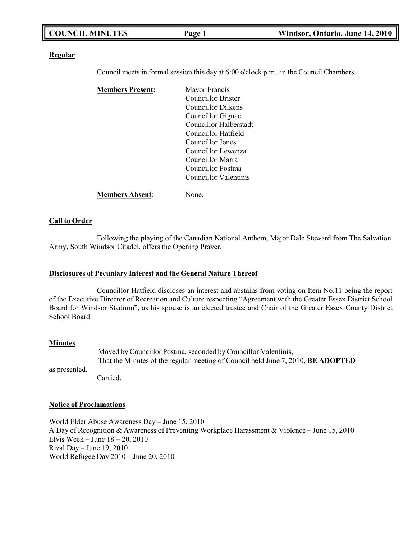| <b>COUNCIL MINUTES</b><br>Windsor, Ontario, June 14, 2010<br>Page 1 |
|---------------------------------------------------------------------|
|---------------------------------------------------------------------|

#### **Regular**

Council meets in formal session this day at 6:00 o'clock p.m., in the Council Chambers.

| <b>Members Present:</b> | Mayor Francis          |
|-------------------------|------------------------|
|                         | Councillor Brister     |
|                         | Councillor Dilkens     |
|                         | Councillor Gignac      |
|                         | Councillor Halberstadt |
|                         | Councillor Hatfield    |
|                         | Councillor Jones       |
|                         | Councillor Lewenza     |
|                         | Councillor Marra       |
|                         | Councillor Postma      |
|                         | Councillor Valentinis  |
| <b>Members Absent:</b>  | None.                  |

#### **Call to Order**

Following the playing of the Canadian National Anthem, Major Dale Steward from The Salvation Army, South Windsor Citadel, offers the Opening Prayer.

#### **Disclosures of Pecuniary Interest and the General Nature Thereof**

Councillor Hatfield discloses an interest and abstains from voting on Item No.11 being the report of the Executive Director of Recreation and Culture respecting "Agreement with the Greater Essex District School Board for Windsor Stadium", as his spouse is an elected trustee and Chair of the Greater Essex County District School Board.

#### **Minutes**

as presented. Moved by Councillor Postma, seconded by Councillor Valentinis, That the Minutes of the regular meeting of Council held June 7, 2010, **BE ADOPTED** Carried.

## **Notice of Proclamations**

World Elder Abuse Awareness Day – June 15, 2010 A Day of Recognition & Awareness of Preventing Workplace Harassment & Violence – June 15, 2010 Elvis Week – June 18 – 20, 2010 Rizal Day – June 19, 2010 World Refugee Day 2010 – June 20, 2010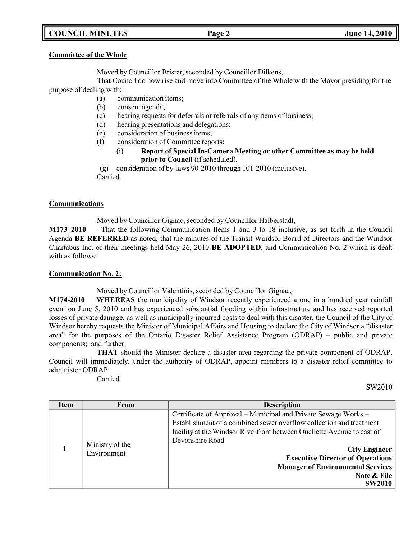## **COUNCIL MINUTES Page 2 June 14, 2010**

#### **Committee of the Whole**

Moved by Councillor Brister, seconded by Councillor Dilkens,

That Council do now rise and move into Committee of the Whole with the Mayor presiding for the purpose of dealing with:

- (a) communication items;
- (b) consent agenda;
- (c) hearing requests for deferrals or referrals of any items of business;
- (d) hearing presentations and delegations;
- (e) consideration of business items;
- (f) consideration of Committee reports:
	- (i) **Report of Special In-Camera Meeting or other Committee as may be held prior to Council** (if scheduled).

(g) consideration of by-laws 90-2010 through 101-2010 (inclusive). Carried.

## **Communications**

Moved by Councillor Gignac, seconded by Councillor Halberstadt,

**M173–2010** That the following Communication Items 1 and 3 to 18 inclusive, as set forth in the Council Agenda **BE REFERRED** as noted; that the minutes of the Transit Windsor Board of Directors and the Windsor Chartabus Inc. of their meetings held May 26, 2010 **BE ADOPTED**; and Communication No. 2 which is dealt with as follows:

## **Communication No. 2:**

Moved by Councillor Valentinis, seconded by Councillor Gignac,

**M174-2010 WHEREAS** the municipality of Windsor recently experienced a one in a hundred year rainfall event on June 5, 2010 and has experienced substantial flooding within infrastructure and has received reported losses of private damage, as well as municipally incurred costs to deal with this disaster, the Council of the City of Windsor hereby requests the Minister of Municipal Affairs and Housing to declare the City of Windsor a "disaster area" for the purposes of the Ontario Disaster Relief Assistance Program (ODRAP) – public and private components; and further,

**THAT** should the Minister declare a disaster area regarding the private component of ODRAP, Council will immediately, under the authority of ODRAP, appoint members to a disaster relief committee to administer ODRAP.

Carried.

SW2010

| Item | From                           | <b>Description</b>                                                                                                                                                                                                                                                                                                                                                                |
|------|--------------------------------|-----------------------------------------------------------------------------------------------------------------------------------------------------------------------------------------------------------------------------------------------------------------------------------------------------------------------------------------------------------------------------------|
|      | Ministry of the<br>Environment | Certificate of Approval – Municipal and Private Sewage Works –<br>Establishment of a combined sewer overflow collection and treatment<br>facility at the Windsor Riverfront between Ouellette Avenue to east of<br>Devonshire Road<br><b>City Engineer</b><br><b>Executive Director of Operations</b><br><b>Manager of Environmental Services</b><br>Note & File<br><b>SW2010</b> |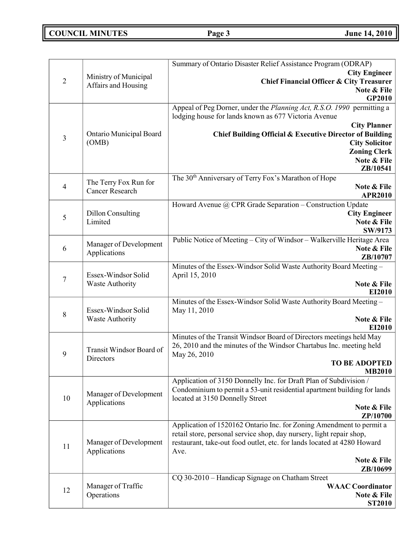# **COUNCIL MINUTES Page 3 June 14, 2010**

|                |                          | Summary of Ontario Disaster Relief Assistance Program (ODRAP)            |
|----------------|--------------------------|--------------------------------------------------------------------------|
|                | Ministry of Municipal    | <b>City Engineer</b>                                                     |
| $\overline{2}$ | Affairs and Housing      | <b>Chief Financial Officer &amp; City Treasurer</b>                      |
|                |                          | Note & File                                                              |
|                |                          | GP2010                                                                   |
|                |                          | Appeal of Peg Dorner, under the Planning Act, R.S.O. 1990 permitting a   |
|                |                          | lodging house for lands known as 677 Victoria Avenue                     |
|                |                          | <b>City Planner</b>                                                      |
| $\mathfrak{Z}$ | Ontario Municipal Board  | Chief Building Official & Executive Director of Building                 |
|                | (OMB)                    | <b>City Solicitor</b>                                                    |
|                |                          | <b>Zoning Clerk</b>                                                      |
|                |                          | Note & File<br>ZB/10541                                                  |
|                |                          | The 30 <sup>th</sup> Anniversary of Terry Fox's Marathon of Hope         |
| $\overline{4}$ | The Terry Fox Run for    | Note & File                                                              |
|                | <b>Cancer Research</b>   | <b>APR2010</b>                                                           |
|                |                          | Howard Avenue @ CPR Grade Separation - Construction Update               |
|                | <b>Dillon Consulting</b> | <b>City Engineer</b>                                                     |
| 5              | Limited                  | Note & File                                                              |
|                |                          | SW/9173                                                                  |
|                |                          | Public Notice of Meeting - City of Windsor - Walkerville Heritage Area   |
| 6              | Manager of Development   | Note & File                                                              |
|                | Applications             | ZB/10707                                                                 |
|                |                          | Minutes of the Essex-Windsor Solid Waste Authority Board Meeting -       |
|                | Essex-Windsor Solid      | April 15, 2010                                                           |
| $\tau$         | <b>Waste Authority</b>   | Note & File                                                              |
|                |                          | EI2010                                                                   |
|                |                          | Minutes of the Essex-Windsor Solid Waste Authority Board Meeting -       |
| 8              | Essex-Windsor Solid      | May 11, 2010                                                             |
|                | <b>Waste Authority</b>   | Note & File                                                              |
|                |                          | EI2010                                                                   |
|                |                          | Minutes of the Transit Windsor Board of Directors meetings held May      |
|                | Transit Windsor Board of | 26, 2010 and the minutes of the Windsor Chartabus Inc. meeting held      |
| 9              | Directors                | May 26, 2010                                                             |
|                |                          | <b>TO BE ADOPTED</b><br><b>MB2010</b>                                    |
|                |                          | Application of 3150 Donnelly Inc. for Draft Plan of Subdivision /        |
|                |                          | Condominium to permit a 53-unit residential apartment building for lands |
| 10             | Manager of Development   | located at 3150 Donnelly Street                                          |
|                | Applications             | Note & File                                                              |
|                |                          | ZP/10700                                                                 |
|                |                          | Application of 1520162 Ontario Inc. for Zoning Amendment to permit a     |
|                |                          | retail store, personal service shop, day nursery, light repair shop,     |
|                | Manager of Development   | restaurant, take-out food outlet, etc. for lands located at 4280 Howard  |
| 11             | Applications             | Ave.                                                                     |
|                |                          | Note & File                                                              |
|                |                          | ZB/10699                                                                 |
|                |                          | CQ 30-2010 - Handicap Signage on Chatham Street                          |
| 12             | Manager of Traffic       | <b>WAAC</b> Coordinator                                                  |
|                | Operations               | Note & File                                                              |
|                |                          | <b>ST2010</b>                                                            |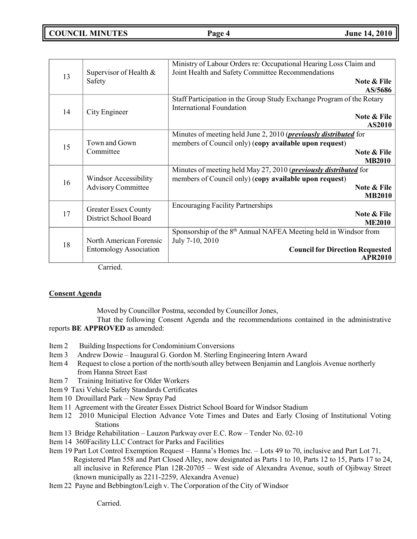## **COUNCIL MINUTES Page 4 June 14, 2010**

|    |                               | Ministry of Labour Orders re: Occupational Hearing Loss Claim and            |
|----|-------------------------------|------------------------------------------------------------------------------|
| 13 | Supervisor of Health &        | Joint Health and Safety Committee Recommendations                            |
|    | Safety                        | Note & File                                                                  |
|    |                               | AS/5686                                                                      |
|    |                               | Staff Participation in the Group Study Exchange Program of the Rotary        |
| 14 | City Engineer                 | <b>International Foundation</b>                                              |
|    |                               | Note & File                                                                  |
|    |                               | AS2010                                                                       |
|    |                               | Minutes of meeting held June 2, 2010 ( <i>previously distributed</i> for     |
| 15 | Town and Gown                 | members of Council only) (copy available upon request)                       |
|    | Committee                     | Note & File                                                                  |
|    |                               | <b>MB2010</b>                                                                |
|    |                               | Minutes of meeting held May 27, 2010 ( <i>previously distributed</i> for     |
| 16 | Windsor Accessibility         | members of Council only) (copy available upon request)                       |
|    | <b>Advisory Committee</b>     | Note & File                                                                  |
|    |                               | <b>MB2010</b>                                                                |
|    | <b>Greater Essex County</b>   | <b>Encouraging Facility Partnerships</b>                                     |
| 17 | District School Board         | Note & File                                                                  |
|    |                               | <b>ME2010</b>                                                                |
|    |                               | Sponsorship of the 8 <sup>th</sup> Annual NAFEA Meeting held in Windsor from |
| 18 | North American Forensic       | July 7-10, 2010                                                              |
|    | <b>Entomology Association</b> | <b>Council for Direction Requested</b>                                       |
|    | $\sim$ $\sim$ 1               | <b>APR2010</b>                                                               |

Carried.

## **Consent Agenda**

Moved by Councillor Postma, seconded by Councillor Jones,

That the following Consent Agenda and the recommendations contained in the administrative reports **BE APPROVED** as amended:

- Item 2 Building Inspections for Condominium Conversions
- Item 3 Andrew Dowie Inaugural G. Gordon M. Sterling Engineering Intern Award
- Item 4 Request to close a portion of the north/south alley between Benjamin and Langlois Avenue northerly from Hanna Street East
- Item 7 Training Initiative for Older Workers
- Item 9 Taxi Vehicle Safety Standards Certificates
- Item 10 Drouillard Park New Spray Pad
- Item 11 Agreement with the Greater Essex District School Board for Windsor Stadium
- Item 12 2010 Municipal Election Advance Vote Times and Dates and Early Closing of Institutional Voting Stations
- Item 13 Bridge Rehabilitation Lauzon Parkway over E.C. Row Tender No. 02-10
- Item 14 360Facility LLC Contract for Parks and Facilities
- Item 19 Part Lot Control Exemption Request Hanna's Homes Inc. Lots 49 to 70, inclusive and Part Lot 71, Registered Plan 558 and Part Closed Alley, now designated as Parts 1 to 10, Parts 12 to 15, Parts 17 to 24, all inclusive in Reference Plan 12R-20705 – West side of Alexandra Avenue, south of Ojibway Street (known municipally as 2211-2259, Alexandra Avenue)
- Item 22 Payne and Bebbington/Leigh v. The Corporation of the City of Windsor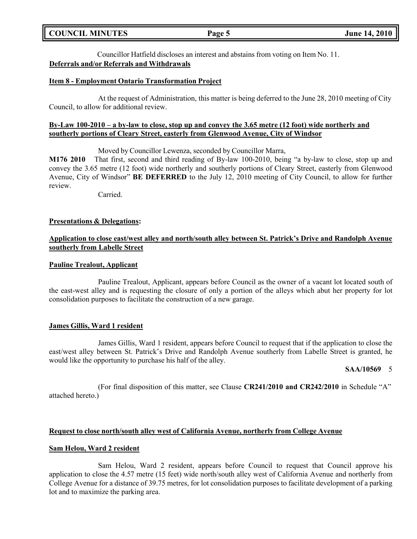| <b>COUNCIL MINUTES</b><br>Page 5 | <b>June 14, 2010</b> |
|----------------------------------|----------------------|
|----------------------------------|----------------------|

Councillor Hatfield discloses an interest and abstains from voting on Item No. 11. **Deferrals and/or Referrals and Withdrawals**

#### **Item 8 - Employment Ontario Transformation Project**

At the request of Administration, this matter is being deferred to the June 28, 2010 meeting of City Council, to allow for additional review.

#### **By-Law 100-2010 – a by-law to close, stop up and convey the 3.65 metre (12 foot) wide northerly and southerly portions of Cleary Street, easterly from Glenwood Avenue, City of Windsor**

Moved by Councillor Lewenza, seconded by Councillor Marra,

**M176 2010** That first, second and third reading of By-law 100-2010, being "a by-law to close, stop up and convey the 3.65 metre (12 foot) wide northerly and southerly portions of Cleary Street, easterly from Glenwood Avenue, City of Windsor" **BE DEFERRED** to the July 12, 2010 meeting of City Council, to allow for further review.

Carried.

#### **Presentations & Delegations:**

### **Application to close east/west alley and north/south alley between St. Patrick's Drive and Randolph Avenue southerly from Labelle Street**

#### **Pauline Trealout, Applicant**

Pauline Trealout, Applicant, appears before Council as the owner of a vacant lot located south of the east-west alley and is requesting the closure of only a portion of the alleys which abut her property for lot consolidation purposes to facilitate the construction of a new garage.

#### **James Gillis, Ward 1 resident**

James Gillis, Ward 1 resident, appears before Council to request that if the application to close the east/west alley between St. Patrick's Drive and Randolph Avenue southerly from Labelle Street is granted, he would like the opportunity to purchase his half of the alley.

#### **SAA/10569** 5

(For final disposition of this matter, see Clause **CR241/2010 and CR242/2010** in Schedule "A" attached hereto.)

#### **Request to close north/south alley west of California Avenue, northerly from College Avenue**

#### **Sam Helou, Ward 2 resident**

Sam Helou, Ward 2 resident, appears before Council to request that Council approve his application to close the 4.57 metre (15 feet) wide north/south alley west of California Avenue and northerly from College Avenue for a distance of 39.75 metres, for lot consolidation purposes to facilitate development of a parking lot and to maximize the parking area.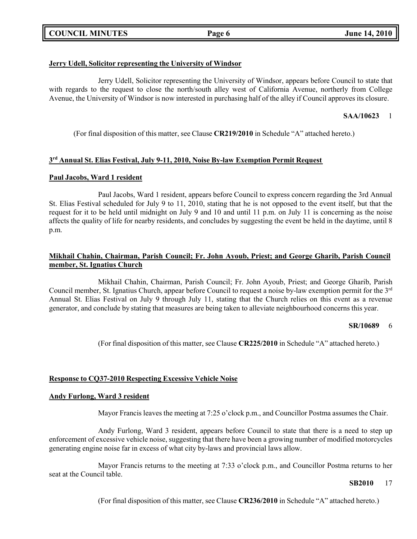## **COUNCIL MINUTES Page 6 June 14, 2010**

## **Jerry Udell, Solicitor representing the University of Windsor**

Jerry Udell, Solicitor representing the University of Windsor, appears before Council to state that with regards to the request to close the north/south alley west of California Avenue, northerly from College Avenue, the University of Windsor is now interested in purchasing half of the alley if Council approves its closure.

## **SAA/10623** 1

(For final disposition of this matter, see Clause **CR219/2010** in Schedule "A" attached hereto.)

## **3 rd Annual St. Elias Festival, July 9-11, 2010, Noise By-law Exemption Permit Request**

## **Paul Jacobs, Ward 1 resident**

Paul Jacobs, Ward 1 resident, appears before Council to express concern regarding the 3rd Annual St. Elias Festival scheduled for July 9 to 11, 2010, stating that he is not opposed to the event itself, but that the request for it to be held until midnight on July 9 and 10 and until 11 p.m. on July 11 is concerning as the noise affects the quality of life for nearby residents, and concludes by suggesting the event be held in the daytime, until 8 p.m.

## **Mikhail Chahin, Chairman, Parish Council; Fr. John Ayoub, Priest; and George Gharib, Parish Council member, St. Ignatius Church**

Mikhail Chahin, Chairman, Parish Council; Fr. John Ayoub, Priest; and George Gharib, Parish Council member, St. Ignatius Church, appear before Council to request a noise by-law exemption permit for the 3<sup>rd</sup> Annual St. Elias Festival on July 9 through July 11, stating that the Church relies on this event as a revenue generator, and conclude by stating that measures are being taken to alleviate neighbourhood concerns this year.

## **SR/10689** 6

(For final disposition of this matter, see Clause **CR225/2010** in Schedule "A" attached hereto.)

## **Response to CQ37-2010 Respecting Excessive Vehicle Noise**

## **Andy Furlong, Ward 3 resident**

Mayor Francis leaves the meeting at 7:25 o'clock p.m., and Councillor Postma assumes the Chair.

Andy Furlong, Ward 3 resident, appears before Council to state that there is a need to step up enforcement of excessive vehicle noise, suggesting that there have been a growing number of modified motorcycles generating engine noise far in excess of what city by-laws and provincial laws allow.

Mayor Francis returns to the meeting at 7:33 o'clock p.m., and Councillor Postma returns to her seat at the Council table.

## **SB2010** 17

(For final disposition of this matter, see Clause **CR236/2010** in Schedule "A" attached hereto.)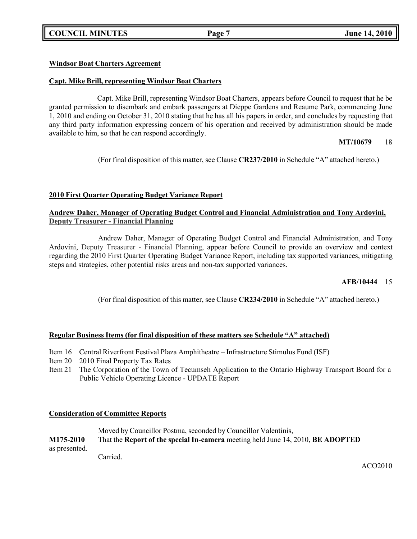## **COUNCIL MINUTES Page 7 June 14, 2010**

## **Windsor Boat Charters Agreement**

## **Capt. Mike Brill, representing Windsor Boat Charters**

Capt. Mike Brill, representing Windsor Boat Charters, appears before Council to request that he be granted permission to disembark and embark passengers at Dieppe Gardens and Reaume Park, commencing June 1, 2010 and ending on October 31, 2010 stating that he has all his papers in order, and concludes by requesting that any third party information expressing concern of his operation and received by administration should be made available to him, so that he can respond accordingly.

## **MT/10679** 18

(For final disposition of this matter, see Clause **CR237/2010** in Schedule "A" attached hereto.)

## **2010 First Quarter Operating Budget Variance Report**

## **Andrew Daher, Manager of Operating Budget Control and Financial Administration and Tony Ardovini, Deputy Treasurer - Financial Planning**

Andrew Daher, Manager of Operating Budget Control and Financial Administration, and Tony Ardovini, Deputy Treasurer - Financial Planning, appear before Council to provide an overview and context regarding the 2010 First Quarter Operating Budget Variance Report, including tax supported variances, mitigating steps and strategies, other potential risks areas and non-tax supported variances.

## **AFB/10444** 15

(For final disposition of this matter, see Clause **CR234/2010** in Schedule "A" attached hereto.)

## **Regular Business Items (for final disposition of these matters see Schedule "A" attached)**

- Item 16 Central Riverfront Festival Plaza Amphitheatre Infrastructure Stimulus Fund (ISF)
- Item 20 2010 Final Property Tax Rates
- Item 21 The Corporation of the Town of Tecumseh Application to the Ontario Highway Transport Board for a Public Vehicle Operating Licence - UPDATE Report

## **Consideration of Committee Reports**

|               | Moved by Councillor Postma, seconded by Councillor Valentinis,                  |
|---------------|---------------------------------------------------------------------------------|
| M175-2010     | That the Report of the special In-camera meeting held June 14, 2010, BE ADOPTED |
| as presented. |                                                                                 |
|               | Carried                                                                         |

ACO2010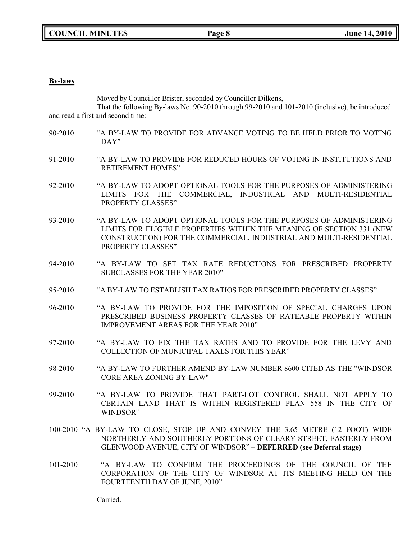#### **By-laws**

Moved by Councillor Brister, seconded by Councillor Dilkens,

That the following By-laws No. 90-2010 through 99-2010 and 101-2010 (inclusive), be introduced and read a first and second time:

- 90-2010 "A BY-LAW TO PROVIDE FOR ADVANCE VOTING TO BE HELD PRIOR TO VOTING DAY"
- 91-2010 "A BY-LAW TO PROVIDE FOR REDUCED HOURS OF VOTING IN INSTITUTIONS AND RETIREMENT HOMES"
- 92-2010 "A BY-LAW TO ADOPT OPTIONAL TOOLS FOR THE PURPOSES OF ADMINISTERING LIMITS FOR THE COMMERCIAL, INDUSTRIAL AND MULTI-RESIDENTIAL PROPERTY CLASSES"
- 93-2010 "A BY-LAW TO ADOPT OPTIONAL TOOLS FOR THE PURPOSES OF ADMINISTERING LIMITS FOR ELIGIBLE PROPERTIES WITHIN THE MEANING OF SECTION 331 (NEW CONSTRUCTION) FOR THE COMMERCIAL, INDUSTRIAL AND MULTI-RESIDENTIAL PROPERTY CLASSES"
- 94-2010 "A BY-LAW TO SET TAX RATE REDUCTIONS FOR PRESCRIBED PROPERTY SUBCLASSES FOR THE YEAR 2010"
- 95-2010 "A BY-LAW TO ESTABLISH TAX RATIOS FOR PRESCRIBED PROPERTY CLASSES"
- 96-2010 "A BY-LAW TO PROVIDE FOR THE IMPOSITION OF SPECIAL CHARGES UPON PRESCRIBED BUSINESS PROPERTY CLASSES OF RATEABLE PROPERTY WITHIN IMPROVEMENT AREAS FOR THE YEAR 2010"
- 97-2010 "A BY-LAW TO FIX THE TAX RATES AND TO PROVIDE FOR THE LEVY AND COLLECTION OF MUNICIPAL TAXES FOR THIS YEAR"
- 98-2010 "A BY-LAW TO FURTHER AMEND BY-LAW NUMBER 8600 CITED AS THE "WINDSOR CORE AREA ZONING BY-LAW"
- 99-2010 "A BY-LAW TO PROVIDE THAT PART-LOT CONTROL SHALL NOT APPLY TO CERTAIN LAND THAT IS WITHIN REGISTERED PLAN 558 IN THE CITY OF WINDSOR"
- 100-2010 "A BY-LAW TO CLOSE, STOP UP AND CONVEY THE 3.65 METRE (12 FOOT) WIDE NORTHERLY AND SOUTHERLY PORTIONS OF CLEARY STREET, EASTERLY FROM GLENWOOD AVENUE, CITY OF WINDSOR" – **DEFERRED (see Deferral stage)**
- 101-2010 "A BY-LAW TO CONFIRM THE PROCEEDINGS OF THE COUNCIL OF THE CORPORATION OF THE CITY OF WINDSOR AT ITS MEETING HELD ON THE FOURTEENTH DAY OF JUNE, 2010"

Carried.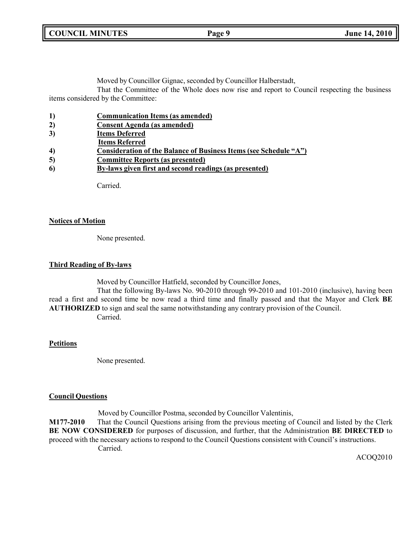**COUNCIL MINUTES Page 9 June 14, 2010**

Moved by Councillor Gignac, seconded by Councillor Halberstadt,

That the Committee of the Whole does now rise and report to Council respecting the business items considered by the Committee:

| 1)               | <b>Communication Items (as amended)</b>                           |
|------------------|-------------------------------------------------------------------|
| 2)               | <b>Consent Agenda</b> (as amended)                                |
| 3)               | <b>Items Deferred</b>                                             |
|                  | <b>Items Referred</b>                                             |
| $\boldsymbol{4}$ | Consideration of the Balance of Business Items (see Schedule "A") |
| 5)               | <b>Committee Reports (as presented)</b>                           |
| 6                | By-laws given first and second readings (as presented)            |
|                  |                                                                   |

Carried.

## **Notices of Motion**

None presented.

## **Third Reading of By-laws**

Moved by Councillor Hatfield, seconded by Councillor Jones,

That the following By-laws No. 90-2010 through 99-2010 and 101-2010 (inclusive), having been read a first and second time be now read a third time and finally passed and that the Mayor and Clerk **BE AUTHORIZED** to sign and seal the same notwithstanding any contrary provision of the Council. Carried.

## **Petitions**

None presented.

## **Council Questions**

Moved by Councillor Postma, seconded by Councillor Valentinis,

**M177-2010** That the Council Questions arising from the previous meeting of Council and listed by the Clerk **BE NOW CONSIDERED** for purposes of discussion, and further, that the Administration **BE DIRECTED** to proceed with the necessary actions to respond to the Council Questions consistent with Council's instructions. Carried.

ACOQ2010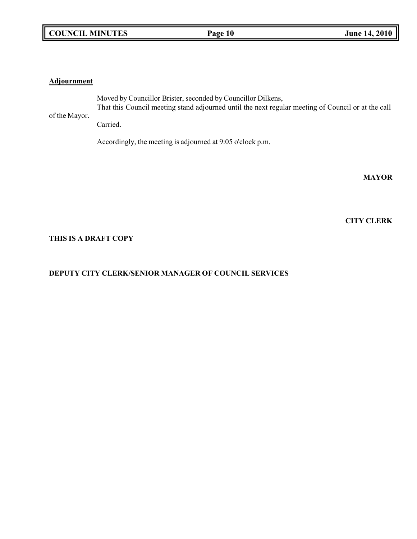## **COUNCIL MINUTES Page 10 June 14, 2010**

### **Adjournment**

of the Mayor. Moved by Councillor Brister, seconded by Councillor Dilkens, That this Council meeting stand adjourned until the next regular meeting of Council or at the call Carried.

Accordingly, the meeting is adjourned at 9:05 o'clock p.m.

**MAYOR**

**CITY CLERK**

## **THIS IS A DRAFT COPY**

## **DEPUTY CITY CLERK/SENIOR MANAGER OF COUNCIL SERVICES**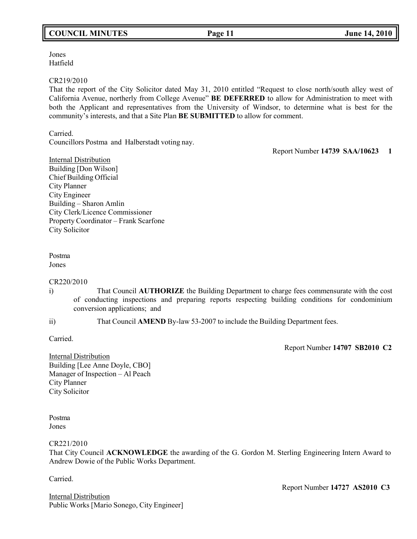## **COUNCIL MINUTES Page 11 June 14, 2010**

Jones Hatfield

#### CR219/2010

That the report of the City Solicitor dated May 31, 2010 entitled "Request to close north/south alley west of California Avenue, northerly from College Avenue" **BE DEFERRED** to allow for Administration to meet with both the Applicant and representatives from the University of Windsor, to determine what is best for the community's interests, and that a Site Plan **BE SUBMITTED** to allow for comment.

Carried.

Councillors Postma and Halberstadt voting nay.

Report Number **14739 SAA/10623 1**

Internal Distribution Building [Don Wilson] Chief Building Official City Planner City Engineer Building – Sharon Amlin City Clerk/Licence Commissioner Property Coordinator – Frank Scarfone City Solicitor

# Postma

Jones

## CR220/2010

i) That Council **AUTHORIZE** the Building Department to charge fees commensurate with the cost of conducting inspections and preparing reports respecting building conditions for condominium conversion applications; and

ii) That Council **AMEND** By-law 53-2007 to include the Building Department fees.

Carried.

Report Number **14707 SB2010 C2**

Internal Distribution Building [Lee Anne Doyle, CBO] Manager of Inspection – Al Peach City Planner City Solicitor

Postma Jones

CR221/2010

That City Council **ACKNOWLEDGE** the awarding of the G. Gordon M. Sterling Engineering Intern Award to Andrew Dowie of the Public Works Department.

Carried.

Internal Distribution Public Works [Mario Sonego, City Engineer] Report Number **14727 AS2010 C3**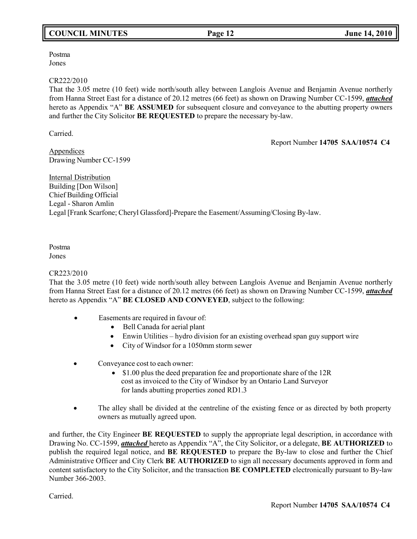## **COUNCIL MINUTES Page 12 June 14, 2010**

Postma Jones

#### CR222/2010

That the 3.05 metre (10 feet) wide north/south alley between Langlois Avenue and Benjamin Avenue northerly from Hanna Street East for a distance of 20.12 metres (66 feet) as shown on Drawing Number CC-1599, *attached* hereto as Appendix "A" **BE ASSUMED** for subsequent closure and conveyance to the abutting property owners and further the City Solicitor **BE REQUESTED** to prepare the necessary by-law.

Carried.

Report Number **14705 SAA/10574 C4**

Appendices Drawing Number CC-1599

Internal Distribution Building [Don Wilson] Chief Building Official Legal - Sharon Amlin Legal [Frank Scarfone; Cheryl Glassford]-Prepare the Easement/Assuming/Closing By-law.

# Postma

Jones

## CR223/2010

That the 3.05 metre (10 feet) wide north/south alley between Langlois Avenue and Benjamin Avenue northerly from Hanna Street East for a distance of 20.12 metres (66 feet) as shown on Drawing Number CC-1599, *attached* hereto as Appendix "A" **BE CLOSED AND CONVEYED**, subject to the following:

- Easements are required in favour of:
	- Bell Canada for aerial plant
	- Enwin Utilities hydro division for an existing overhead span guy support wire
	- City of Windsor for a 1050mm storm sewer
- Conveyance cost to each owner:
	- \$1.00 plus the deed preparation fee and proportionate share of the 12R cost as invoiced to the City of Windsor by an Ontario Land Surveyor for lands abutting properties zoned RD1.3
- The alley shall be divided at the centreline of the existing fence or as directed by both property owners as mutually agreed upon.

and further, the City Engineer **BE REQUESTED** to supply the appropriate legal description, in accordance with Drawing No. CC-1599, *attached* hereto as Appendix "A", the City Solicitor, or a delegate, **BE AUTHORIZED** to publish the required legal notice, and **BE REQUESTED** to prepare the By-law to close and further the Chief Administrative Officer and City Clerk **BE AUTHORIZED** to sign all necessary documents approved in form and content satisfactory to the City Solicitor, and the transaction **BE COMPLETED** electronically pursuant to By-law Number 366-2003.

Carried.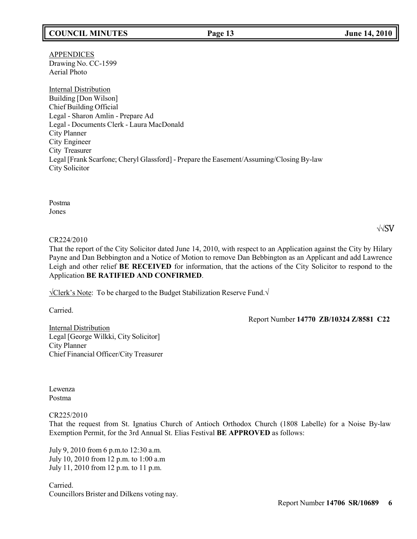## **COUNCIL MINUTES Page 13 June 14, 2010**

APPENDICES Drawing No. CC-1599 Aerial Photo

Internal Distribution Building [Don Wilson] Chief Building Official Legal - Sharon Amlin - Prepare Ad Legal - Documents Clerk - Laura MacDonald City Planner City Engineer City Treasurer Legal [Frank Scarfone; Cheryl Glassford] - Prepare the Easement/Assuming/Closing By-law City Solicitor

Postma Jones

### √√SV

#### CR224/2010

That the report of the City Solicitor dated June 14, 2010, with respect to an Application against the City by Hilary Payne and Dan Bebbington and a Notice of Motion to remove Dan Bebbington as an Applicant and add Lawrence Leigh and other relief **BE RECEIVED** for information, that the actions of the City Solicitor to respond to the Application **BE RATIFIED AND CONFIRMED**.

√Clerk's Note: To be charged to the Budget Stabilization Reserve Fund.√

Carried.

Report Number **14770 ZB/10324 Z/8581 C22**

Internal Distribution Legal [George Wilkki, City Solicitor] City Planner Chief Financial Officer/City Treasurer

Lewenza Postma

#### CR225/2010

That the request from St. Ignatius Church of Antioch Orthodox Church (1808 Labelle) for a Noise By-law Exemption Permit, for the 3rd Annual St. Elias Festival **BE APPROVED** as follows:

July 9, 2010 from 6 p.m.to 12:30 a.m. July 10, 2010 from 12 p.m. to 1:00 a.m July 11, 2010 from 12 p.m. to 11 p.m.

Carried. Councillors Brister and Dilkens voting nay.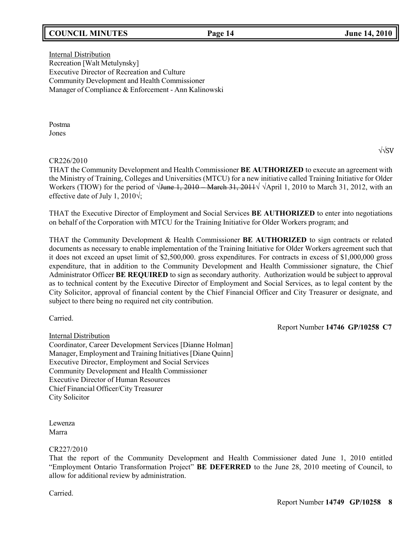## **COUNCIL MINUTES Page 14 June 14, 2010**

Internal Distribution Recreation [Walt Metulynsky] Executive Director of Recreation and Culture Community Development and Health Commissioner Manager of Compliance & Enforcement - Ann Kalinowski

Postma Jones

#### CR226/2010

THAT the Community Development and Health Commissioner **BE AUTHORIZED** to execute an agreement with the Ministry of Training, Colleges and Universities (MTCU) for a new initiative called Training Initiative for Older Workers (TIOW) for the period of  $\sqrt{J$ une 1, 2010 – March 31, 2011 $\sqrt{J}$   $\sqrt{J}$  April 1, 2010 to March 31, 2012, with an effective date of July 1, 2010 $\sqrt{ }$ ;

THAT the Executive Director of Employment and Social Services **BE AUTHORIZED** to enter into negotiations on behalf of the Corporation with MTCU for the Training Initiative for Older Workers program; and

THAT the Community Development & Health Commissioner **BE AUTHORIZED** to sign contracts or related documents as necessary to enable implementation of the Training Initiative for Older Workers agreement such that it does not exceed an upset limit of \$2,500,000. gross expenditures. For contracts in excess of \$1,000,000 gross expenditure, that in addition to the Community Development and Health Commissioner signature, the Chief Administrator Officer **BE REQUIRED** to sign as secondary authority. Authorization would be subject to approval as to technical content by the Executive Director of Employment and Social Services, as to legal content by the City Solicitor, approval of financial content by the Chief Financial Officer and City Treasurer or designate, and subject to there being no required net city contribution.

Carried.

Report Number **14746 GP/10258 C7**

Internal Distribution Coordinator, Career Development Services [Dianne Holman] Manager, Employment and Training Initiatives [Diane Quinn] Executive Director, Employment and Social Services Community Development and Health Commissioner Executive Director of Human Resources Chief Financial Officer/City Treasurer City Solicitor

Lewenza Marra

#### CR227/2010

That the report of the Community Development and Health Commissioner dated June 1, 2010 entitled "Employment Ontario Transformation Project" **BE DEFERRED** to the June 28, 2010 meeting of Council, to allow for additional review by administration.

Carried.

√√SV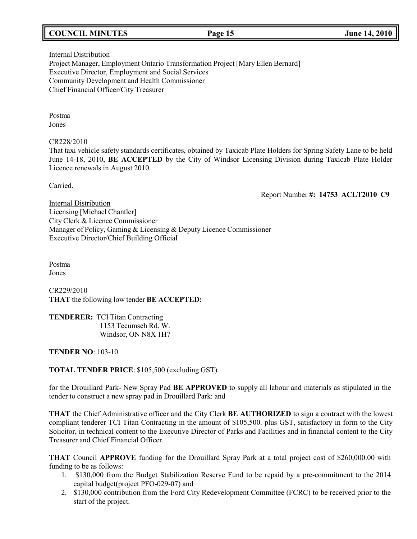## **COUNCIL MINUTES Page 15 June 14, 2010**

## Internal Distribution Project Manager, Employment Ontario Transformation Project [Mary Ellen Bernard] Executive Director, Employment and Social Services Community Development and Health Commissioner Chief Financial Officer/City Treasurer

Postma Jones

#### CR228/2010

That taxi vehicle safety standards certificates, obtained by Taxicab Plate Holders for Spring Safety Lane to be held June 14-18, 2010, **BE ACCEPTED** by the City of Windsor Licensing Division during Taxicab Plate Holder Licence renewals in August 2010.

Carried.

Report Number **#: 14753 ACLT2010 C9**

**Internal Distribution** Licensing [Michael Chantler] City Clerk & Licence Commissioner Manager of Policy, Gaming & Licensing & Deputy Licence Commissioner Executive Director/Chief Building Official

Postma Jones

CR229/2010 **THAT** the following low tender **BE ACCEPTED:**

**TENDERER:** TCI Titan Contracting 1153 Tecumseh Rd. W. Windsor, ON N8X 1H7

**TENDER NO**: 103-10

## **TOTAL TENDER PRICE**: \$105,500 (excluding GST)

for the Drouillard Park- New Spray Pad **BE APPROVED** to supply all labour and materials as stipulated in the tender to construct a new spray pad in Drouillard Park: and

**THAT** the Chief Administrative officer and the City Clerk **BE AUTHORIZED** to sign a contract with the lowest compliant tenderer TCI Titan Contracting in the amount of \$105,500. plus GST, satisfactory in form to the City Solicitor, in technical content to the Executive Director of Parks and Facilities and in financial content to the City Treasurer and Chief Financial Officer.

**THAT** Council **APPROVE** funding for the Drouillard Spray Park at a total project cost of \$260,000.00 with funding to be as follows:

- 1. \$130,000 from the Budget Stabilization Reserve Fund to be repaid by a pre-commitment to the 2014 capital budget(project PFO-029-07) and
- 2. \$130,000 contribution from the Ford City Redevelopment Committee (FCRC) to be received prior to the start of the project.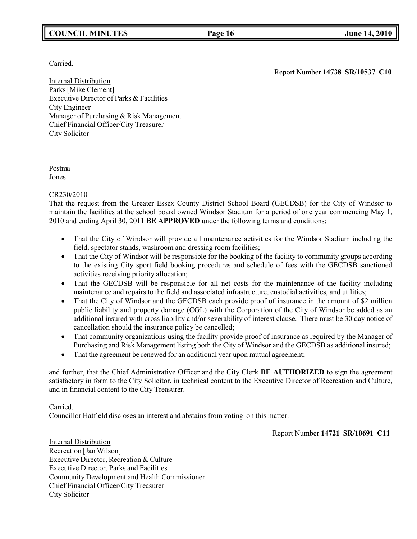## **COUNCIL MINUTES Page 16 June 14, 2010**

Carried.

Report Number **14738 SR/10537 C10**

Internal Distribution Parks[Mike Clement] Executive Director of Parks & Facilities City Engineer Manager of Purchasing & Risk Management Chief Financial Officer/City Treasurer City Solicitor

Postma Jones

## CR230/2010

That the request from the Greater Essex County District School Board (GECDSB) for the City of Windsor to maintain the facilities at the school board owned Windsor Stadium for a period of one year commencing May 1, 2010 and ending April 30, 2011 **BE APPROVED** under the following terms and conditions:

- That the City of Windsor will provide all maintenance activities for the Windsor Stadium including the field, spectator stands, washroom and dressing room facilities;
- That the City of Windsor will be responsible for the booking of the facility to community groups according to the existing City sport field booking procedures and schedule of fees with the GECDSB sanctioned activities receiving priority allocation;
- That the GECDSB will be responsible for all net costs for the maintenance of the facility including maintenance and repairs to the field and associated infrastructure, custodial activities, and utilities;
- That the City of Windsor and the GECDSB each provide proof of insurance in the amount of \$2 million public liability and property damage (CGL) with the Corporation of the City of Windsor be added as an additional insured with cross liability and/or severability of interest clause. There must be 30 day notice of cancellation should the insurance policy be cancelled;
- That community organizations using the facility provide proof of insurance as required by the Manager of Purchasing and Risk Management listing both the City of Windsor and the GECDSB as additional insured;
- That the agreement be renewed for an additional year upon mutual agreement;

and further, that the Chief Administrative Officer and the City Clerk **BE AUTHORIZED** to sign the agreement satisfactory in form to the City Solicitor, in technical content to the Executive Director of Recreation and Culture, and in financial content to the City Treasurer.

## Carried.

Councillor Hatfield discloses an interest and abstains from voting on this matter.

Report Number **14721 SR/10691 C11**

Internal Distribution Recreation [Jan Wilson] Executive Director, Recreation & Culture Executive Director, Parks and Facilities Community Development and Health Commissioner Chief Financial Officer/City Treasurer City Solicitor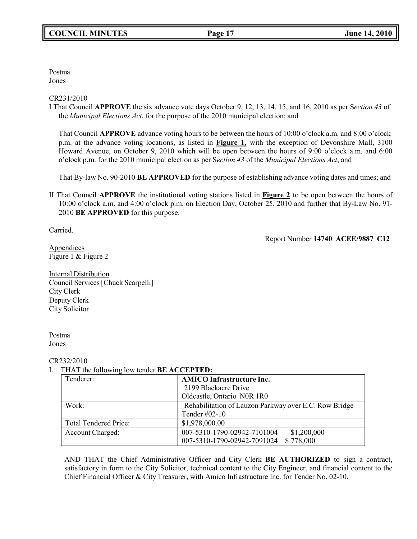Postma Jones

#### CR231/2010

I That Council **APPROVE** the six advance vote days October 9, 12, 13, 14, 15, and 16, 2010 as per S*ection 43* of the *Municipal Elections Act*, for the purpose of the 2010 municipal election; and

That Council **APPROVE** advance voting hours to be between the hours of 10:00 o'clock a.m. and 8:00 o'clock p.m. at the advance voting locations, as listed in **Figure 1,** with the exception of Devonshire Mall, 3100 Howard Avenue, on October 9, 2010 which will be open between the hours of 9:00 o'clock a.m. and 6:00 o'clock p.m. for the 2010 municipal election as per S*ection 43* of the *Municipal Elections Act*, and

That By-law No. 90-2010 **BE APPROVED** for the purpose of establishing advance voting dates and times; and

II That Council **APPROVE** the institutional voting stations listed in **Figure 2** to be open between the hours of 10:00 o'clock a.m. and 4:00 o'clock p.m. on Election Day, October 25, 2010 and further that By-Law No. 91- 2010 **BE APPROVED** for this purpose.

Carried.

Report Number **14740 ACEE/9887 C12**

**Appendices** Figure 1 & Figure 2

Internal Distribution Council Services[Chuck Scarpelli] City Clerk Deputy Clerk City Solicitor

Postma Jones

#### CR232/2010

## I. THAT the following low tender **BE ACCEPTED:**

| Tenderer:                    | <b>AMICO Infrastructure Inc.</b>                      |  |
|------------------------------|-------------------------------------------------------|--|
|                              | 2199 Blackacre Drive                                  |  |
|                              | Oldcastle, Ontario N0R 1R0                            |  |
| Work:                        | Rehabilitation of Lauzon Parkway over E.C. Row Bridge |  |
|                              | Tender #02-10                                         |  |
| <b>Total Tendered Price:</b> | \$1,978,000.00                                        |  |
| Account Charged:             | 007-5310-1790-02942-7101004<br>\$1,200,000            |  |
|                              | \$778,000<br>007-5310-1790-02942-7091024              |  |

AND THAT the Chief Administrative Officer and City Clerk **BE AUTHORIZED** to sign a contract, satisfactory in form to the City Solicitor, technical content to the City Engineer, and financial content to the Chief Financial Officer & City Treasurer, with Amico Infrastructure Inc. for Tender No. 02-10.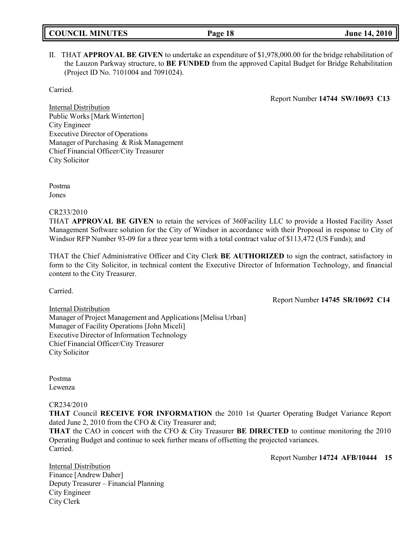| <b>COUNCIL MINUTES</b> |  |
|------------------------|--|
|------------------------|--|

## II. THAT **APPROVAL BE GIVEN** to undertake an expenditure of \$1,978,000.00 for the bridge rehabilitation of the Lauzon Parkway structure, to **BE FUNDED** from the approved Capital Budget for Bridge Rehabilitation (Project ID No. 7101004 and 7091024).

Carried.

Report Number **14744 SW/10693 C13**

Internal Distribution Public Works[Mark Winterton] City Engineer Executive Director of Operations Manager of Purchasing & Risk Management Chief Financial Officer/City Treasurer City Solicitor

Postma Jones

CR233/2010

THAT **APPROVAL BE GIVEN** to retain the services of 360Facility LLC to provide a Hosted Facility Asset Management Software solution for the City of Windsor in accordance with their Proposal in response to City of Windsor RFP Number 93-09 for a three year term with a total contract value of \$113,472 (US Funds); and

THAT the Chief Administrative Officer and City Clerk **BE AUTHORIZED** to sign the contract, satisfactory in form to the City Solicitor, in technical content the Executive Director of Information Technology, and financial content to the City Treasurer.

Carried.

Report Number **14745 SR/10692 C14**

Internal Distribution Manager of Project Management and Applications [Melisa Urban] Manager of Facility Operations [John Miceli] Executive Director of Information Technology Chief Financial Officer/City Treasurer City Solicitor

Postma Lewenza

CR234/2010

**THAT** Council **RECEIVE FOR INFORMATION** the 2010 1st Quarter Operating Budget Variance Report dated June 2, 2010 from the CFO & City Treasurer and;

**THAT** the CAO in concert with the CFO & City Treasurer **BE DIRECTED** to continue monitoring the 2010 Operating Budget and continue to seek further means of offsetting the projected variances. Carried.

Report Number **14724 AFB/10444 15**

Internal Distribution Finance [Andrew Daher] Deputy Treasurer – Financial Planning City Engineer City Clerk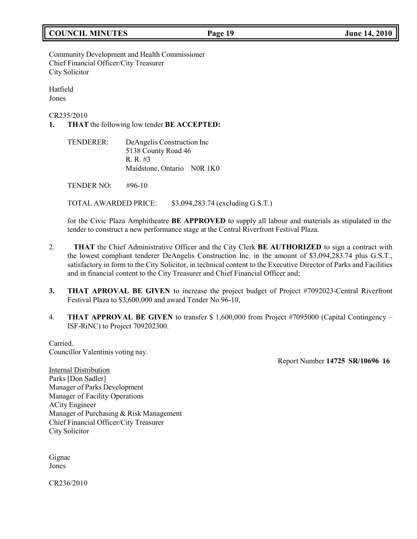## **COUNCIL MINUTES Page 19 June 14, 2010**

## Community Development and Health Commissioner Chief Financial Officer/City Treasurer City Solicitor

Hatfield Jones

CR235/2010

**1. THAT** the following low tender **BE ACCEPTED:**

TENDERER: DeAngelis Construction Inc 5138 County Road 46 R. R. #3 Maidstone, Ontario N0R 1K0

TENDER NO: #96-10

TOTAL AWARDED PRICE: \$3,094,283.74 (excluding G.S.T.)

for the Civic Plaza Amphitheatre **BE APPROVED** to supply all labour and materials as stipulated in the tender to construct a new performance stage at the Central Riverfront Festival Plaza.

- 2. **THAT** the Chief Administrative Officer and the City Clerk **BE AUTHORIZED** to sign a contract with the lowest compliant tenderer DeAngelis Construction Inc. in the amount of \$3,094,283.74 plus G.S.T., satisfactory in form to the City Solicitor, in technical content to the Executive Director of Parks and Facilities and in financial content to the City Treasurer and Chief Financial Officer and;
- **3. THAT APROVAL BE GIVEN** to increase the project budget of Project #7092023-Central Riverfront Festival Plaza to \$3,600,000 and award Tender No 96-10,
- 4. **THAT APPROVAL BE GIVEN** to transfer \$ 1,600,000 from Project #7095000 (Capital Contingency ISF-RiNC) to Project 709202300.

Carried. Councillor Valentinis voting nay.

Report Number **14725 SR/10696 16**

Internal Distribution Parks [Don Sadler] Manager of Parks Development Manager of Facility Operations ACity Engineer Manager of Purchasing & Risk Management Chief Financial Officer/City Treasurer City Solicitor

Gignac Jones

CR236/2010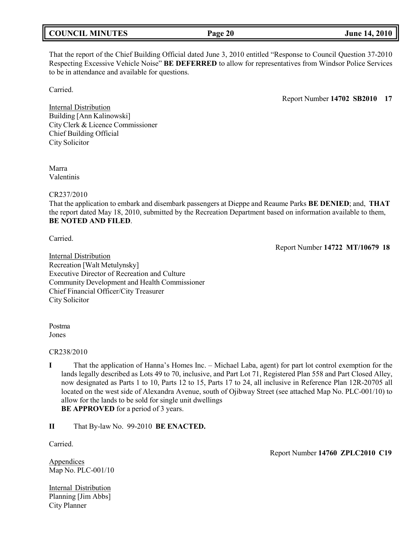|  | <b>COUNCIL MINUTES</b> |
|--|------------------------|
|--|------------------------|

That the report of the Chief Building Official dated June 3, 2010 entitled "Response to Council Question 37-2010 Respecting Excessive Vehicle Noise" **BE DEFERRED** to allow for representatives from Windsor Police Services to be in attendance and available for questions.

Carried.

Report Number **14702 SB2010 17**

Internal Distribution Building [Ann Kalinowski] City Clerk & Licence Commissioner Chief Building Official City Solicitor

Marra Valentinis

CR237/2010

That the application to embark and disembark passengers at Dieppe and Reaume Parks **BE DENIED**; and, **THAT** the report dated May 18, 2010, submitted by the Recreation Department based on information available to them, **BE NOTED AND FILED**.

Carried.

Report Number **14722 MT/10679 18**

Internal Distribution Recreation [Walt Metulynsky] Executive Director of Recreation and Culture Community Development and Health Commissioner Chief Financial Officer/City Treasurer City Solicitor

Postma Jones

CR238/2010

**I** That the application of Hanna's Homes Inc. – Michael Laba, agent) for part lot control exemption for the lands legally described as Lots 49 to 70, inclusive, and Part Lot 71, Registered Plan 558 and Part Closed Alley, now designated as Parts 1 to 10, Parts 12 to 15, Parts 17 to 24, all inclusive in Reference Plan 12R-20705 all located on the west side of Alexandra Avenue, south of Ojibway Street (see attached Map No. PLC-001/10) to allow for the lands to be sold for single unit dwellings **BE APPROVED** for a period of 3 years.

**II** That By-law No. 99-2010 **BE ENACTED.**

Carried.

Report Number **14760 ZPLC2010 C19**

Appendices Map No. PLC-001/10

Internal Distribution Planning [Jim Abbs] City Planner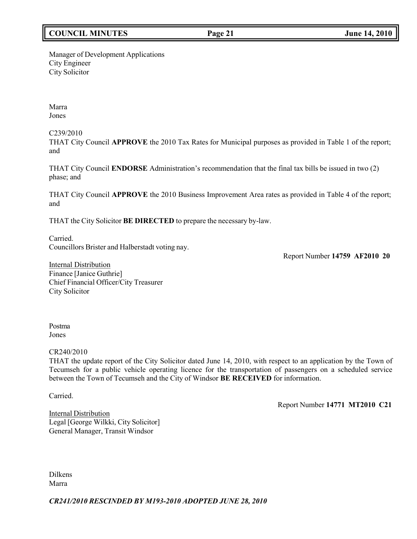## **COUNCIL MINUTES Page 21 June 14, 2010**

#### Manager of Development Applications City Engineer City Solicitor

Marra Jones

C239/2010

THAT City Council **APPROVE** the 2010 Tax Rates for Municipal purposes as provided in Table 1 of the report; and

THAT City Council **ENDORSE** Administration's recommendation that the final tax bills be issued in two (2) phase; and

THAT City Council **APPROVE** the 2010 Business Improvement Area rates as provided in Table 4 of the report; and

THAT the City Solicitor **BE DIRECTED** to prepare the necessary by-law.

Carried. Councillors Brister and Halberstadt voting nay.

Report Number **14759 AF2010 20**

Internal Distribution Finance [Janice Guthrie] Chief Financial Officer/City Treasurer City Solicitor

## Postma Jones

CR240/2010

THAT the update report of the City Solicitor dated June 14, 2010, with respect to an application by the Town of Tecumseh for a public vehicle operating licence for the transportation of passengers on a scheduled service between the Town of Tecumseh and the City of Windsor **BE RECEIVED** for information.

Carried.

Report Number **14771 MT2010 C21**

Internal Distribution Legal [George Wilkki, City Solicitor] General Manager, Transit Windsor

Dilkens Marra

*CR241/2010 RESCINDED BY M193-2010 ADOPTED JUNE 28, 2010*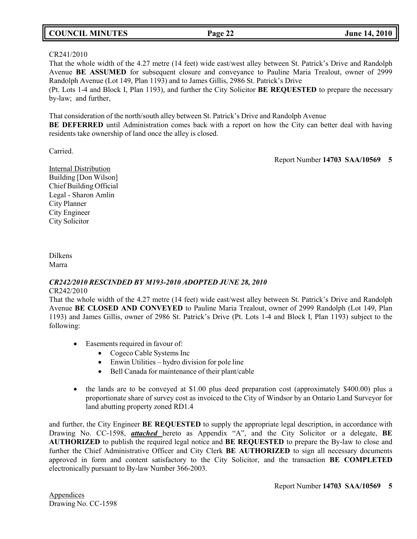## **COUNCIL MINUTES Page 22 June 14, 2010**

#### CR241/2010

That the whole width of the 4.27 metre (14 feet) wide east/west alley between St. Patrick's Drive and Randolph Avenue **BE ASSUMED** for subsequent closure and conveyance to Pauline Maria Trealout, owner of 2999 Randolph Avenue (Lot 149, Plan 1193) and to James Gillis, 2986 St. Patrick's Drive (Pt. Lots 1-4 and Block I, Plan 1193), and further the City Solicitor **BE REQUESTED** to prepare the necessary

by-law; and further,

That consideration of the north/south alley between St. Patrick's Drive and Randolph Avenue **BE DEFERRED** until Administration comes back with a report on how the City can better deal with having residents take ownership of land once the alley is closed.

Carried.

Report Number **14703 SAA/10569 5**

Internal Distribution Building [Don Wilson] Chief Building Official Legal - Sharon Amlin City Planner City Engineer City Solicitor

Dilkens Marra

# *CR242/2010 RESCINDED BY M193-2010 ADOPTED JUNE 28, 2010*

CR242/2010

That the whole width of the 4.27 metre (14 feet) wide east/west alley between St. Patrick's Drive and Randolph Avenue **BE CLOSED AND CONVEYED** to Pauline Maria Trealout, owner of 2999 Randolph (Lot 149, Plan 1193) and James Gillis, owner of 2986 St. Patrick's Drive (Pt. Lots 1-4 and Block I, Plan 1193) subject to the following:

- Easements required in favour of:
	- Cogeco Cable Systems Inc
	- Enwin Utilities hydro division for pole line
	- Bell Canada for maintenance of their plant/cable
- the lands are to be conveyed at \$1.00 plus deed preparation cost (approximately \$400.00) plus a proportionate share of survey cost as invoiced to the City of Windsor by an Ontario Land Surveyor for land abutting property zoned RD1.4

and further, the City Engineer **BE REQUESTED** to supply the appropriate legal description, in accordance with Drawing No. CC-1598, *attached* hereto as Appendix "A", and the City Solicitor or a delegate, **BE AUTHORIZED** to publish the required legal notice and **BE REQUESTED** to prepare the By-law to close and further the Chief Administrative Officer and City Clerk **BE AUTHORIZED** to sign all necessary documents approved in form and content satisfactory to the City Solicitor, and the transaction **BE COMPLETED** electronically pursuant to By-law Number 366-2003.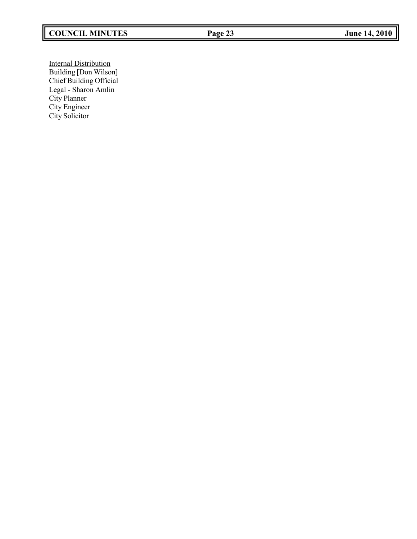# **COUNCIL MINUTES Page 23 June 14, 2010**

Internal Distribution Building [Don Wilson] Chief Building Official Legal - Sharon Amlin City Planner City Engineer City Solicitor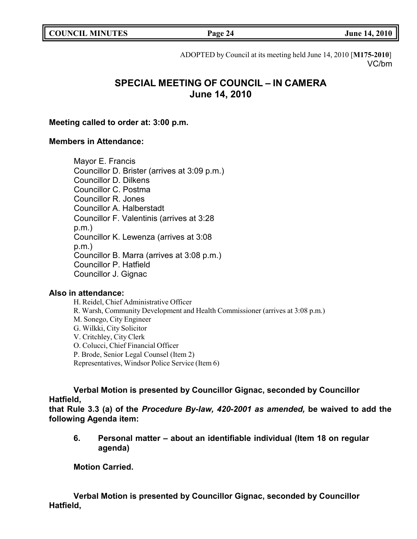|  | <b>COUNCIL MINUTES</b> |
|--|------------------------|
|--|------------------------|

**COUNCIL EXECUTE: COUNCIL EXECUTE: Page 24 June 14, 2010** 

ADOPTED by Council at its meeting held June 14, 2010 [**M175-2010**] VC/bm

# **SPECIAL MEETING OF COUNCIL – IN CAMERA June 14, 2010**

## **Meeting called to order at: 3:00 p.m.**

## **Members in Attendance:**

Mayor E. Francis Councillor D. Brister (arrives at 3:09 p.m.) Councillor D. Dilkens Councillor C. Postma Councillor R. Jones Councillor A. Halberstadt Councillor F. Valentinis (arrives at 3:28 p.m.) Councillor K. Lewenza (arrives at 3:08 p.m.) Councillor B. Marra (arrives at 3:08 p.m.) Councillor P. Hatfield Councillor J. Gignac

## **Also in attendance:**

H. Reidel, Chief Administrative Officer R. Warsh, Community Development and Health Commissioner (arrives at 3:08 p.m.) M. Sonego, City Engineer G. Wilkki, City Solicitor V. Critchley, City Clerk O. Colucci, Chief Financial Officer P. Brode, Senior Legal Counsel (Item 2) Representatives, Windsor Police Service (Item 6)

**Verbal Motion is presented by Councillor Gignac, seconded by Councillor Hatfield,**

**that Rule 3.3 (a) of the** *Procedure By-law, 420-2001 as amended,* **be waived to add the following Agenda item:**

**6. Personal matter – about an identifiable individual (Item 18 on regular agenda)**

**Motion Carried.**

**Verbal Motion is presented by Councillor Gignac, seconded by Councillor Hatfield,**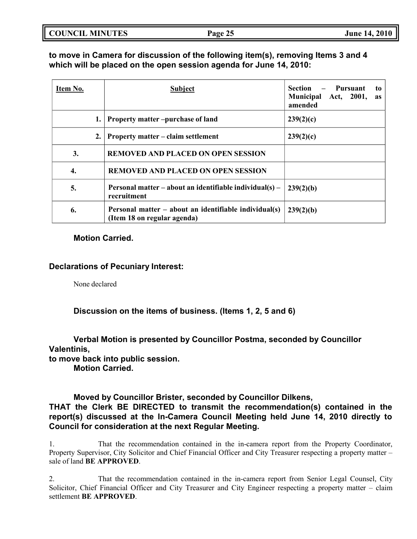**to move in Camera for discussion of the following item(s), removing Items 3 and 4 which will be placed on the open session agenda for June 14, 2010:**

| Item No. |    | <b>Subject</b>                                                                       | Section<br>Pursuant<br>to<br><b>Municipal</b><br>Act, 2001,<br>as<br>amended |
|----------|----|--------------------------------------------------------------------------------------|------------------------------------------------------------------------------|
|          | 1. | <b>Property matter-purchase of land</b>                                              | 239(2)(c)                                                                    |
|          | 2. | <b>Property matter – claim settlement</b>                                            | 239(2)(c)                                                                    |
| 3.       |    | <b>REMOVED AND PLACED ON OPEN SESSION</b>                                            |                                                                              |
| 4.       |    | <b>REMOVED AND PLACED ON OPEN SESSION</b>                                            |                                                                              |
| 5.       |    | Personal matter – about an identifiable individual(s) –<br>recruitment               | 239(2)(b)                                                                    |
| 6.       |    | Personal matter – about an identifiable individual(s)<br>(Item 18 on regular agenda) | 239(2)(b)                                                                    |

## **Motion Carried.**

## **Declarations of Pecuniary Interest:**

None declared

**Discussion on the items of business. (Items 1, 2, 5 and 6)**

**Verbal Motion is presented by Councillor Postma, seconded by Councillor Valentinis, to move back into public session. Motion Carried.**

## **Moved by Councillor Brister, seconded by Councillor Dilkens,**

**THAT the Clerk BE DIRECTED to transmit the recommendation(s) contained in the report(s) discussed at the In-Camera Council Meeting held June 14, 2010 directly to Council for consideration at the next Regular Meeting.**

1. That the recommendation contained in the in-camera report from the Property Coordinator, Property Supervisor, City Solicitor and Chief Financial Officer and City Treasurer respecting a property matter – sale of land **BE APPROVED**.

2. That the recommendation contained in the in-camera report from Senior Legal Counsel, City Solicitor, Chief Financial Officer and City Treasurer and City Engineer respecting a property matter – claim settlement **BE APPROVED**.